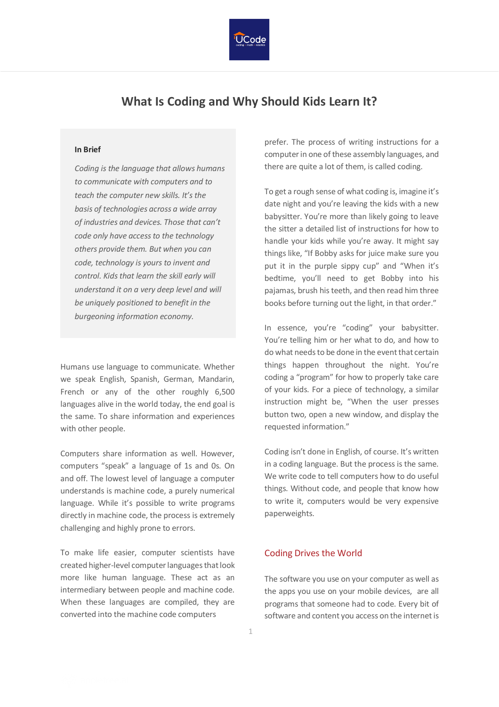

# **What Is Coding and Why Should Kids Learn It?**

#### **In Brief**

*Coding is the language that allows humans to communicate with computers and to teach the computer new skills. It's the basis of technologies across a wide array of industries and devices. Those that can't code only have access to the technology others provide them. But when you can code, technology is yours to invent and control. Kids that learn the skill early will understand it on a very deep level and will be uniquely positioned to benefit in the burgeoning information economy.*

Humans use language to communicate. Whether we speak English, Spanish, German, Mandarin, French or any of the other roughly 6,500 languages alive in the world today, the end goal is the same. To share information and experiences with other people.

Computers share information as well. However, computers "speak" a language of 1s and 0s. On and off. The lowest level of language a computer understands is machine code, a purely numerical language. While it's possible to write programs directly in machine code, the process is extremely challenging and highly prone to errors.

To make life easier, computer scientists have created higher-level computer languages that look more like human language. These act as an intermediary between people and machine code. When these languages are compiled, they are converted into the machine code computers

prefer. The process of writing instructions for a computer in one of these assembly languages, and there are quite a lot of them, is called coding.

To get a rough sense of what coding is, imagine it's date night and you're leaving the kids with a new babysitter. You're more than likely going to leave the sitter a detailed list of instructions for how to handle your kids while you're away. It might say things like, "If Bobby asks for juice make sure you put it in the purple sippy cup" and "When it's bedtime, you'll need to get Bobby into his pajamas, brush his teeth, and then read him three books before turning out the light, in that order."

In essence, you're "coding" your babysitter. You're telling him or her what to do, and how to do what needs to be done in the event that certain things happen throughout the night. You're coding a "program" for how to properly take care of your kids. For a piece of technology, a similar instruction might be, "When the user presses button two, open a new window, and display the requested information."

Coding isn't done in English, of course. It's written in a coding language. But the process is the same. We write code to tell computers how to do useful things. Without code, and people that know how to write it, computers would be very expensive paperweights.

## Coding Drives the World

The software you use on your computer as well as the apps you use on your mobile devices, are all programs that someone had to code. Every bit of software and content you access on the internet is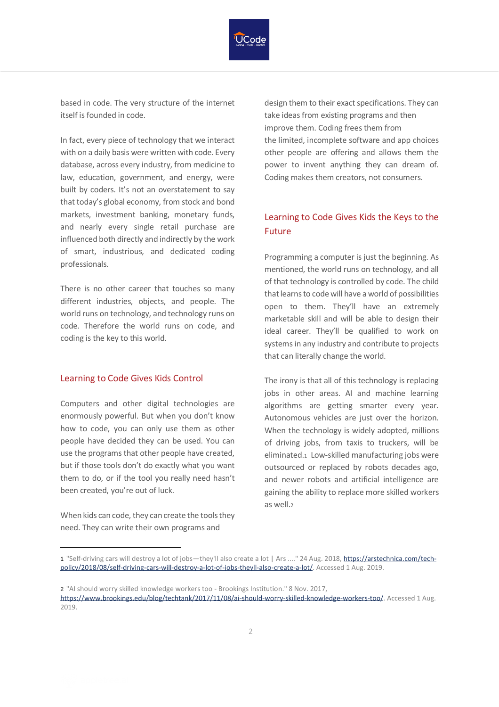

based in code. The very structure of the internet itself is founded in code.

In fact, every piece of technology that we interact with on a daily basis were written with code. Every database, across every industry, from medicine to law, education, government, and energy, were built by coders. It's not an overstatement to say that today's global economy, from stock and bond markets, investment banking, monetary funds, and nearly every single retail purchase are influenced both directly and indirectly by the work of smart, industrious, and dedicated coding professionals.

There is no other career that touches so many different industries, objects, and people. The world runs on technology, and technology runs on code. Therefore the world runs on code, and coding is the key to this world.

#### Learning to Code Gives Kids Control

Computers and other digital technologies are enormously powerful. But when you don't know how to code, you can only use them as other people have decided they can be used. You can use the programs that other people have created, but if those tools don't do exactly what you want them to do, or if the tool you really need hasn't been created, you're out of luck.

When kids can code, they can create the tools they need. They can write their own programs and

design them to their exact specifications. They can take ideas from existing programs and then improve them. Coding frees them from the limited, incomplete software and app choices other people are offering and allows them the power to invent anything they can dream of. Coding makes them creators, not consumers.

# Learning to Code Gives Kids the Keys to the Future

Programming a computer is just the beginning. As mentioned, the world runs on technology, and all of that technology is controlled by code. The child that learns to code will have a world of possibilities open to them. They'll have an extremely marketable skill and will be able to design their ideal career. They'll be qualified to work on systems in any industry and contribute to projects that can literally change the world.

The irony is that all of this technology is replacing jobs in other areas. AI and machine learning algorithms are getting smarter every year. Autonomous vehicles are just over the horizon. When the technology is widely adopted, millions of driving jobs, from taxis to truckers, will be eliminated.1 Low-skilled manufacturing jobs were outsourced or replaced by robots decades ago, and newer robots and artificial intelligence are gaining the ability to replace more skilled workers as well.<sub>2</sub>

<sup>1 &</sup>quot;Self-driving cars will destroy a lot of jobs—they'll also create a lot | Ars ...." 24 Aug. 2018[, https://arstechnica.com/tech](https://arstechnica.com/tech-policy/2018/08/self-driving-cars-will-destroy-a-lot-of-jobs-theyll-also-create-a-lot/)[policy/2018/08/self-driving-cars-will-destroy-a-lot-of-jobs-theyll-also-create-a-lot/.](https://arstechnica.com/tech-policy/2018/08/self-driving-cars-will-destroy-a-lot-of-jobs-theyll-also-create-a-lot/) Accessed 1 Aug. 2019.

<sup>2</sup> "AI should worry skilled knowledge workers too - Brookings Institution." 8 Nov. 2017, [https://www.brookings.edu/blog/techtank/2017/11/08/ai-should-worry-skilled-knowledge-workers-too/.](https://www.brookings.edu/blog/techtank/2017/11/08/ai-should-worry-skilled-knowledge-workers-too/) Accessed 1 Aug. 2019.